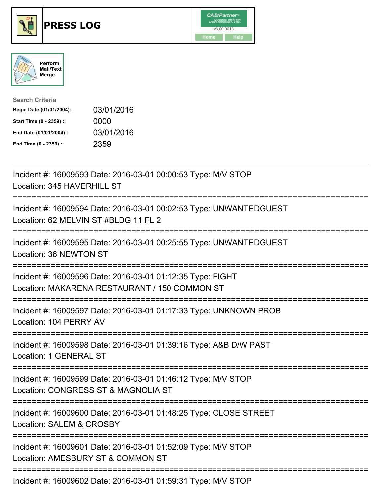

## **PRESS LOG** v8.00.0013





| <b>Search Criteria</b>    |            |
|---------------------------|------------|
| Begin Date (01/01/2004):: | 03/01/2016 |
| Start Time (0 - 2359) ::  | 0000       |
| End Date (01/01/2004)::   | 03/01/2016 |
| End Time (0 - 2359) ::    | 2359       |

Incident #: 16009593 Date: 2016-03-01 00:00:53 Type: M/V STOP Location: 345 HAVERHILL ST =========================================================================== Incident #: 16009594 Date: 2016-03-01 00:02:53 Type: UNWANTEDGUEST Location: 62 MELVIN ST #BLDG 11 FL 2 =========================================================================== Incident #: 16009595 Date: 2016-03-01 00:25:55 Type: UNWANTEDGUEST Location: 36 NEWTON ST =========================================================================== Incident #: 16009596 Date: 2016-03-01 01:12:35 Type: FIGHT Location: MAKARENA RESTAURANT / 150 COMMON ST =========================================================================== Incident #: 16009597 Date: 2016-03-01 01:17:33 Type: UNKNOWN PROB Location: 104 PERRY AV =========================================================================== Incident #: 16009598 Date: 2016-03-01 01:39:16 Type: A&B D/W PAST Location: 1 GENERAL ST =========================================================================== Incident #: 16009599 Date: 2016-03-01 01:46:12 Type: M/V STOP Location: CONGRESS ST & MAGNOLIA ST =========================================================================== Incident #: 16009600 Date: 2016-03-01 01:48:25 Type: CLOSE STREET Location: SALEM & CROSBY =========================================================================== Incident #: 16009601 Date: 2016-03-01 01:52:09 Type: M/V STOP Location: AMESBURY ST & COMMON ST ===========================================================================

Incident #: 16009602 Date: 2016-03-01 01:59:31 Type: M/V STOP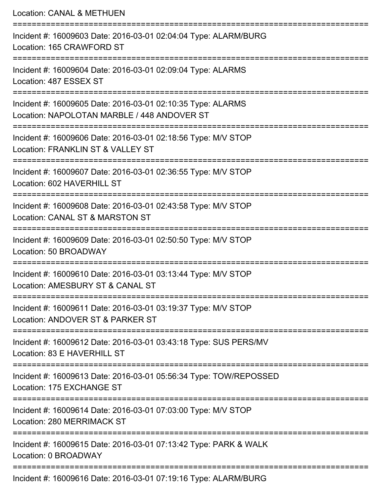Location: CANAL & METHUEN =========================================================================== Incident #: 16009603 Date: 2016-03-01 02:04:04 Type: ALARM/BURG Location: 165 CRAWFORD ST =========================================================================== Incident #: 16009604 Date: 2016-03-01 02:09:04 Type: ALARMS Location: 487 ESSEX ST =========================================================================== Incident #: 16009605 Date: 2016-03-01 02:10:35 Type: ALARMS Location: NAPOLOTAN MARBLE / 448 ANDOVER ST =========================================================================== Incident #: 16009606 Date: 2016-03-01 02:18:56 Type: M/V STOP Location: FRANKLIN ST & VALLEY ST =========================================================================== Incident #: 16009607 Date: 2016-03-01 02:36:55 Type: M/V STOP Location: 602 HAVERHILL ST =========================================================================== Incident #: 16009608 Date: 2016-03-01 02:43:58 Type: M/V STOP Location: CANAL ST & MARSTON ST =========================================================================== Incident #: 16009609 Date: 2016-03-01 02:50:50 Type: M/V STOP Location: 50 BROADWAY =========================================================================== Incident #: 16009610 Date: 2016-03-01 03:13:44 Type: M/V STOP Location: AMESBURY ST & CANAL ST =========================================================================== Incident #: 16009611 Date: 2016-03-01 03:19:37 Type: M/V STOP Location: ANDOVER ST & PARKER ST =========================================================================== Incident #: 16009612 Date: 2016-03-01 03:43:18 Type: SUS PERS/MV Location: 83 E HAVERHILL ST =========================================================================== Incident #: 16009613 Date: 2016-03-01 05:56:34 Type: TOW/REPOSSED Location: 175 EXCHANGE ST =========================================================================== Incident #: 16009614 Date: 2016-03-01 07:03:00 Type: M/V STOP Location: 280 MERRIMACK ST =========================================================================== Incident #: 16009615 Date: 2016-03-01 07:13:42 Type: PARK & WALK Location: 0 BROADWAY =========================================================================== Incident #: 16009616 Date: 2016-03-01 07:19:16 Type: ALARM/BURG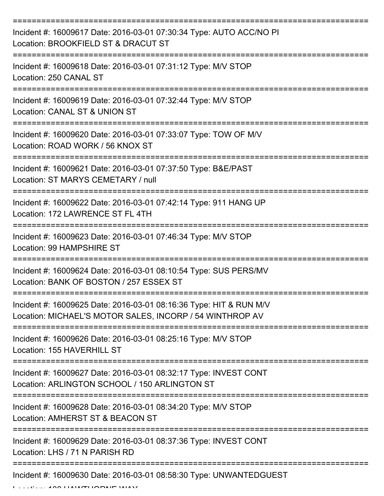| Incident #: 16009617 Date: 2016-03-01 07:30:34 Type: AUTO ACC/NO PI<br>Location: BROOKFIELD ST & DRACUT ST                                   |
|----------------------------------------------------------------------------------------------------------------------------------------------|
| Incident #: 16009618 Date: 2016-03-01 07:31:12 Type: M/V STOP<br>Location: 250 CANAL ST                                                      |
| Incident #: 16009619 Date: 2016-03-01 07:32:44 Type: M/V STOP<br>Location: CANAL ST & UNION ST                                               |
| Incident #: 16009620 Date: 2016-03-01 07:33:07 Type: TOW OF M/V<br>Location: ROAD WORK / 56 KNOX ST                                          |
| Incident #: 16009621 Date: 2016-03-01 07:37:50 Type: B&E/PAST<br>Location: ST MARYS CEMETARY / null                                          |
| :==================<br>Incident #: 16009622 Date: 2016-03-01 07:42:14 Type: 911 HANG UP<br>Location: 172 LAWRENCE ST FL 4TH                  |
| Incident #: 16009623 Date: 2016-03-01 07:46:34 Type: M/V STOP<br>Location: 99 HAMPSHIRE ST                                                   |
| Incident #: 16009624 Date: 2016-03-01 08:10:54 Type: SUS PERS/MV<br>Location: BANK OF BOSTON / 257 ESSEX ST                                  |
| Incident #: 16009625 Date: 2016-03-01 08:16:36 Type: HIT & RUN M/V<br>Location: MICHAEL'S MOTOR SALES, INCORP / 54 WINTHROP AV               |
| Incident #: 16009626 Date: 2016-03-01 08:25:16 Type: M/V STOP<br>Location: 155 HAVERHILL ST                                                  |
| =======================<br>Incident #: 16009627 Date: 2016-03-01 08:32:17 Type: INVEST CONT<br>Location: ARLINGTON SCHOOL / 150 ARLINGTON ST |
| Incident #: 16009628 Date: 2016-03-01 08:34:20 Type: M/V STOP<br>Location: AMHERST ST & BEACON ST                                            |
| Incident #: 16009629 Date: 2016-03-01 08:37:36 Type: INVEST CONT<br>Location: LHS / 71 N PARISH RD                                           |
| Incident #: 16009630 Date: 2016-03-01 08:58:30 Type: UNWANTEDGUEST                                                                           |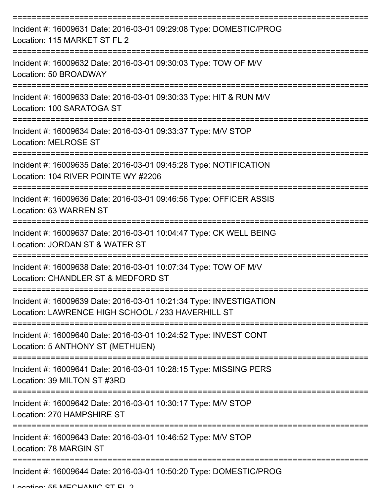| Incident #: 16009631 Date: 2016-03-01 09:29:08 Type: DOMESTIC/PROG<br>Location: 115 MARKET ST FL 2                      |
|-------------------------------------------------------------------------------------------------------------------------|
| Incident #: 16009632 Date: 2016-03-01 09:30:03 Type: TOW OF M/V<br>Location: 50 BROADWAY                                |
| Incident #: 16009633 Date: 2016-03-01 09:30:33 Type: HIT & RUN M/V<br>Location: 100 SARATOGA ST                         |
| Incident #: 16009634 Date: 2016-03-01 09:33:37 Type: M/V STOP<br><b>Location: MELROSE ST</b>                            |
| Incident #: 16009635 Date: 2016-03-01 09:45:28 Type: NOTIFICATION<br>Location: 104 RIVER POINTE WY #2206                |
| Incident #: 16009636 Date: 2016-03-01 09:46:56 Type: OFFICER ASSIS<br>Location: 63 WARREN ST                            |
| Incident #: 16009637 Date: 2016-03-01 10:04:47 Type: CK WELL BEING<br>Location: JORDAN ST & WATER ST                    |
| Incident #: 16009638 Date: 2016-03-01 10:07:34 Type: TOW OF M/V<br>Location: CHANDLER ST & MEDFORD ST                   |
| Incident #: 16009639 Date: 2016-03-01 10:21:34 Type: INVESTIGATION<br>Location: LAWRENCE HIGH SCHOOL / 233 HAVERHILL ST |
| Incident #: 16009640 Date: 2016-03-01 10:24:52 Type: INVEST CONT<br>Location: 5 ANTHONY ST (METHUEN)                    |
| Incident #: 16009641 Date: 2016-03-01 10:28:15 Type: MISSING PERS<br>Location: 39 MILTON ST #3RD                        |
| Incident #: 16009642 Date: 2016-03-01 10:30:17 Type: M/V STOP<br>Location: 270 HAMPSHIRE ST                             |
| Incident #: 16009643 Date: 2016-03-01 10:46:52 Type: M/V STOP<br>Location: 78 MARGIN ST                                 |
| Incident #: 16009644 Date: 2016-03-01 10:50:20 Type: DOMESTIC/PROG                                                      |

Location: 55 MECHANIC ST EL 2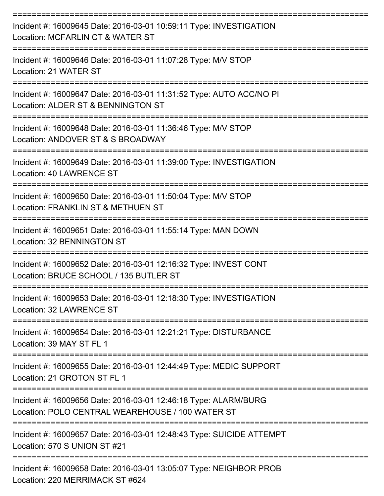| Incident #: 16009645 Date: 2016-03-01 10:59:11 Type: INVESTIGATION<br>Location: MCFARLIN CT & WATER ST              |
|---------------------------------------------------------------------------------------------------------------------|
| Incident #: 16009646 Date: 2016-03-01 11:07:28 Type: M/V STOP<br>Location: 21 WATER ST                              |
| Incident #: 16009647 Date: 2016-03-01 11:31:52 Type: AUTO ACC/NO PI<br>Location: ALDER ST & BENNINGTON ST           |
| Incident #: 16009648 Date: 2016-03-01 11:36:46 Type: M/V STOP<br>Location: ANDOVER ST & S BROADWAY                  |
| Incident #: 16009649 Date: 2016-03-01 11:39:00 Type: INVESTIGATION<br>Location: 40 LAWRENCE ST                      |
| Incident #: 16009650 Date: 2016-03-01 11:50:04 Type: M/V STOP<br>Location: FRANKLIN ST & METHUEN ST                 |
| Incident #: 16009651 Date: 2016-03-01 11:55:14 Type: MAN DOWN<br>Location: 32 BENNINGTON ST<br>---------------      |
| Incident #: 16009652 Date: 2016-03-01 12:16:32 Type: INVEST CONT<br>Location: BRUCE SCHOOL / 135 BUTLER ST          |
| Incident #: 16009653 Date: 2016-03-01 12:18:30 Type: INVESTIGATION<br>Location: 32 LAWRENCE ST<br>----------------  |
| Incident #: 16009654 Date: 2016-03-01 12:21:21 Type: DISTURBANCE<br>Location: 39 MAY ST FL 1                        |
| Incident #: 16009655 Date: 2016-03-01 12:44:49 Type: MEDIC SUPPORT<br>Location: 21 GROTON ST FL 1                   |
| Incident #: 16009656 Date: 2016-03-01 12:46:18 Type: ALARM/BURG<br>Location: POLO CENTRAL WEAREHOUSE / 100 WATER ST |
| Incident #: 16009657 Date: 2016-03-01 12:48:43 Type: SUICIDE ATTEMPT<br>Location: 570 S UNION ST #21                |
| Incident #: 16009658 Date: 2016-03-01 13:05:07 Type: NEIGHBOR PROB                                                  |

Location: 220 MERRIMACK ST #624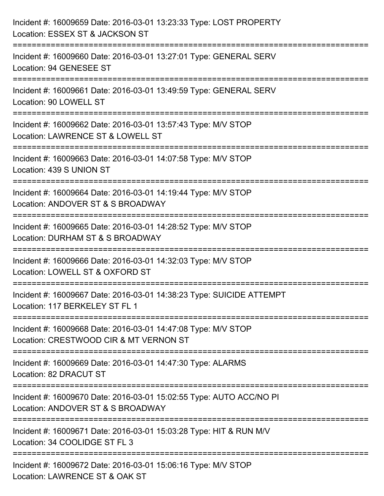| Incident #: 16009659 Date: 2016-03-01 13:23:33 Type: LOST PROPERTY<br>Location: ESSEX ST & JACKSON ST                                |
|--------------------------------------------------------------------------------------------------------------------------------------|
| Incident #: 16009660 Date: 2016-03-01 13:27:01 Type: GENERAL SERV<br>Location: 94 GENESEE ST                                         |
| Incident #: 16009661 Date: 2016-03-01 13:49:59 Type: GENERAL SERV<br>Location: 90 LOWELL ST                                          |
| Incident #: 16009662 Date: 2016-03-01 13:57:43 Type: M/V STOP<br>Location: LAWRENCE ST & LOWELL ST                                   |
| Incident #: 16009663 Date: 2016-03-01 14:07:58 Type: M/V STOP<br>Location: 439 S UNION ST                                            |
| ==============================<br>Incident #: 16009664 Date: 2016-03-01 14:19:44 Type: M/V STOP<br>Location: ANDOVER ST & S BROADWAY |
| ==============================<br>Incident #: 16009665 Date: 2016-03-01 14:28:52 Type: M/V STOP<br>Location: DURHAM ST & S BROADWAY  |
| Incident #: 16009666 Date: 2016-03-01 14:32:03 Type: M/V STOP<br>Location: LOWELL ST & OXFORD ST                                     |
| Incident #: 16009667 Date: 2016-03-01 14:38:23 Type: SUICIDE ATTEMPT<br>Location: 117 BERKELEY ST FL 1                               |
| Incident #: 16009668 Date: 2016-03-01 14:47:08 Type: M/V STOP<br>Location: CRESTWOOD CIR & MT VERNON ST                              |
| Incident #: 16009669 Date: 2016-03-01 14:47:30 Type: ALARMS<br>Location: 82 DRACUT ST                                                |
| Incident #: 16009670 Date: 2016-03-01 15:02:55 Type: AUTO ACC/NO PI<br>Location: ANDOVER ST & S BROADWAY                             |
| Incident #: 16009671 Date: 2016-03-01 15:03:28 Type: HIT & RUN M/V<br>Location: 34 COOLIDGE ST FL 3                                  |
| Incident #: 16009672 Date: 2016-03-01 15:06:16 Type: M/V STOP<br>Location: LAWRENCE ST & OAK ST                                      |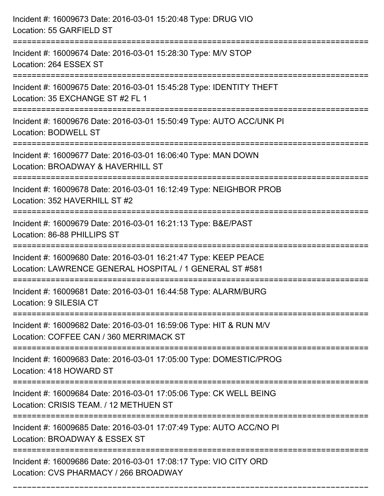| Incident #: 16009673 Date: 2016-03-01 15:20:48 Type: DRUG VIO<br>Location: 55 GARFIELD ST                                                |
|------------------------------------------------------------------------------------------------------------------------------------------|
| Incident #: 16009674 Date: 2016-03-01 15:28:30 Type: M/V STOP<br>Location: 264 ESSEX ST                                                  |
| Incident #: 16009675 Date: 2016-03-01 15:45:28 Type: IDENTITY THEFT<br>Location: 35 EXCHANGE ST #2 FL 1<br>============                  |
| Incident #: 16009676 Date: 2016-03-01 15:50:49 Type: AUTO ACC/UNK PI<br>Location: BODWELL ST<br>-------------------------------------    |
| Incident #: 16009677 Date: 2016-03-01 16:06:40 Type: MAN DOWN<br>Location: BROADWAY & HAVERHILL ST                                       |
| Incident #: 16009678 Date: 2016-03-01 16:12:49 Type: NEIGHBOR PROB<br>Location: 352 HAVERHILL ST #2                                      |
| Incident #: 16009679 Date: 2016-03-01 16:21:13 Type: B&E/PAST<br>Location: 86-88 PHILLIPS ST                                             |
| Incident #: 16009680 Date: 2016-03-01 16:21:47 Type: KEEP PEACE<br>Location: LAWRENCE GENERAL HOSPITAL / 1 GENERAL ST #581               |
| Incident #: 16009681 Date: 2016-03-01 16:44:58 Type: ALARM/BURG<br>Location: 9 SILESIA CT                                                |
| Incident #: 16009682 Date: 2016-03-01 16:59:06 Type: HIT & RUN M/V<br>Location: COFFEE CAN / 360 MERRIMACK ST                            |
| Incident #: 16009683 Date: 2016-03-01 17:05:00 Type: DOMESTIC/PROG<br>Location: 418 HOWARD ST                                            |
| Incident #: 16009684 Date: 2016-03-01 17:05:06 Type: CK WELL BEING<br>Location: CRISIS TEAM. / 12 METHUEN ST                             |
| Incident #: 16009685 Date: 2016-03-01 17:07:49 Type: AUTO ACC/NO PI<br>Location: BROADWAY & ESSEX ST                                     |
| ==========================<br>Incident #: 16009686 Date: 2016-03-01 17:08:17 Type: VIO CITY ORD<br>Location: CVS PHARMACY / 266 BROADWAY |

===========================================================================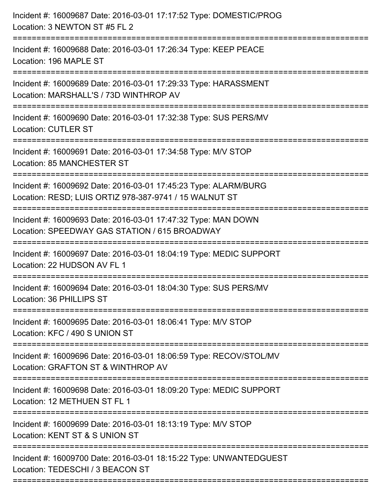| Incident #: 16009687 Date: 2016-03-01 17:17:52 Type: DOMESTIC/PROG<br>Location: 3 NEWTON ST #5 FL 2<br>========================               |
|-----------------------------------------------------------------------------------------------------------------------------------------------|
| Incident #: 16009688 Date: 2016-03-01 17:26:34 Type: KEEP PEACE<br>Location: 196 MAPLE ST                                                     |
| Incident #: 16009689 Date: 2016-03-01 17:29:33 Type: HARASSMENT<br>Location: MARSHALL'S / 73D WINTHROP AV<br>:=============================== |
| Incident #: 16009690 Date: 2016-03-01 17:32:38 Type: SUS PERS/MV<br><b>Location: CUTLER ST</b><br>----------------------------------          |
| Incident #: 16009691 Date: 2016-03-01 17:34:58 Type: M/V STOP<br>Location: 85 MANCHESTER ST                                                   |
| Incident #: 16009692 Date: 2016-03-01 17:45:23 Type: ALARM/BURG<br>Location: RESD; LUIS ORTIZ 978-387-9741 / 15 WALNUT ST                     |
| Incident #: 16009693 Date: 2016-03-01 17:47:32 Type: MAN DOWN<br>Location: SPEEDWAY GAS STATION / 615 BROADWAY                                |
| Incident #: 16009697 Date: 2016-03-01 18:04:19 Type: MEDIC SUPPORT<br>Location: 22 HUDSON AV FL 1                                             |
| Incident #: 16009694 Date: 2016-03-01 18:04:30 Type: SUS PERS/MV<br>Location: 36 PHILLIPS ST                                                  |
| Incident #: 16009695 Date: 2016-03-01 18:06:41 Type: M/V STOP<br>Location: KFC / 490 S UNION ST                                               |
| Incident #: 16009696 Date: 2016-03-01 18:06:59 Type: RECOV/STOL/MV<br>Location: GRAFTON ST & WINTHROP AV                                      |
| Incident #: 16009698 Date: 2016-03-01 18:09:20 Type: MEDIC SUPPORT<br>Location: 12 METHUEN ST FL 1                                            |
| Incident #: 16009699 Date: 2016-03-01 18:13:19 Type: M/V STOP<br>Location: KENT ST & S UNION ST                                               |
| Incident #: 16009700 Date: 2016-03-01 18:15:22 Type: UNWANTEDGUEST<br>Location: TEDESCHI / 3 BEACON ST                                        |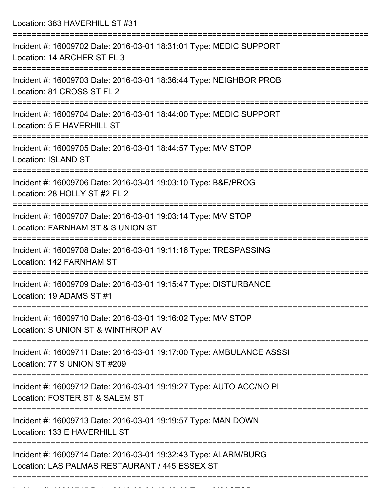Location: 383 HAVERHILL ST #31

| Incident #: 16009702 Date: 2016-03-01 18:31:01 Type: MEDIC SUPPORT<br>Location: 14 ARCHER ST FL 3                 |
|-------------------------------------------------------------------------------------------------------------------|
| Incident #: 16009703 Date: 2016-03-01 18:36:44 Type: NEIGHBOR PROB<br>Location: 81 CROSS ST FL 2                  |
| Incident #: 16009704 Date: 2016-03-01 18:44:00 Type: MEDIC SUPPORT<br>Location: 5 E HAVERHILL ST                  |
| Incident #: 16009705 Date: 2016-03-01 18:44:57 Type: M/V STOP<br><b>Location: ISLAND ST</b>                       |
| Incident #: 16009706 Date: 2016-03-01 19:03:10 Type: B&E/PROG<br>Location: 28 HOLLY ST #2 FL 2                    |
| Incident #: 16009707 Date: 2016-03-01 19:03:14 Type: M/V STOP<br>Location: FARNHAM ST & S UNION ST                |
| Incident #: 16009708 Date: 2016-03-01 19:11:16 Type: TRESPASSING<br>Location: 142 FARNHAM ST                      |
| Incident #: 16009709 Date: 2016-03-01 19:15:47 Type: DISTURBANCE<br>Location: 19 ADAMS ST #1                      |
| Incident #: 16009710 Date: 2016-03-01 19:16:02 Type: M/V STOP<br>Location: S UNION ST & WINTHROP AV               |
| Incident #: 16009711 Date: 2016-03-01 19:17:00 Type: AMBULANCE ASSSI<br>Location: 77 S UNION ST #209              |
| Incident #: 16009712 Date: 2016-03-01 19:19:27 Type: AUTO ACC/NO PI<br>Location: FOSTER ST & SALEM ST             |
| Incident #: 16009713 Date: 2016-03-01 19:19:57 Type: MAN DOWN<br>Location: 133 E HAVERHILL ST                     |
| Incident #: 16009714 Date: 2016-03-01 19:32:43 Type: ALARM/BURG<br>Location: LAS PALMAS RESTAURANT / 445 ESSEX ST |
|                                                                                                                   |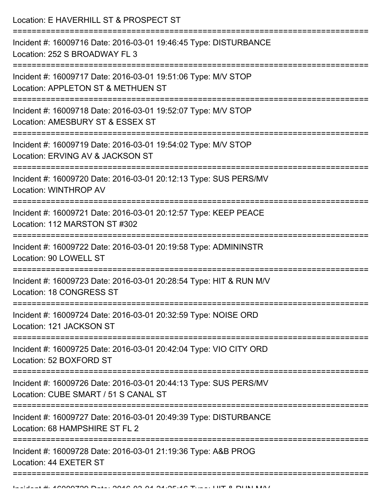Location: E HAVERHILL ST & PROSPECT ST =========================================================================== Incident #: 16009716 Date: 2016-03-01 19:46:45 Type: DISTURBANCE

Location: 252 S BROADWAY FL 3

===========================================================================

Incident #: 16009717 Date: 2016-03-01 19:51:06 Type: M/V STOP

Location: APPLETON ST & METHUEN ST

===========================================================================

Incident #: 16009718 Date: 2016-03-01 19:52:07 Type: M/V STOP

Location: AMESBURY ST & ESSEX ST

===========================================================================

Incident #: 16009719 Date: 2016-03-01 19:54:02 Type: M/V STOP

Location: ERVING AV & JACKSON ST

===========================================================================

Incident #: 16009720 Date: 2016-03-01 20:12:13 Type: SUS PERS/MV Location: WINTHROP AV

===========================================================================

Incident #: 16009721 Date: 2016-03-01 20:12:57 Type: KEEP PEACE Location: 112 MARSTON ST #302

===========================================================================

Incident #: 16009722 Date: 2016-03-01 20:19:58 Type: ADMININSTR Location: 90 LOWELL ST

===========================================================================

Incident #: 16009723 Date: 2016-03-01 20:28:54 Type: HIT & RUN M/V Location: 18 CONGRESS ST

===========================================================================

Incident #: 16009724 Date: 2016-03-01 20:32:59 Type: NOISE ORD Location: 121 JACKSON ST

===========================================================================

Incident #: 16009725 Date: 2016-03-01 20:42:04 Type: VIO CITY ORD Location: 52 BOXFORD ST

===========================================================================

Incident #: 16009726 Date: 2016-03-01 20:44:13 Type: SUS PERS/MV

Location: CUBE SMART / 51 S CANAL ST

===========================================================================

Incident #: 16009727 Date: 2016-03-01 20:49:39 Type: DISTURBANCE

Location: 68 HAMPSHIRF ST FL 2

===========================================================================

===========================================================================

Incident #: 16009728 Date: 2016-03-01 21:19:36 Type: A&B PROG Location: 44 EXETER ST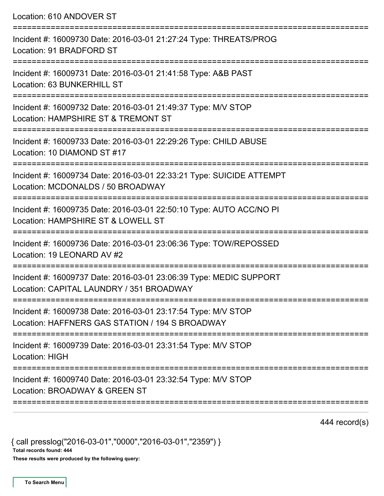Location: 610 ANDOVER ST =========================================================================== Incident #: 16009730 Date: 2016-03-01 21:27:24 Type: THREATS/PROG Location: 91 BRADFORD ST =========================================================================== Incident #: 16009731 Date: 2016-03-01 21:41:58 Type: A&B PAST Location: 63 BUNKERHILL ST =========================================================================== Incident #: 16009732 Date: 2016-03-01 21:49:37 Type: M/V STOP Location: HAMPSHIRE ST & TREMONT ST =========================================================================== Incident #: 16009733 Date: 2016-03-01 22:29:26 Type: CHILD ABUSE Location: 10 DIAMOND ST #17 =========================================================================== Incident #: 16009734 Date: 2016-03-01 22:33:21 Type: SUICIDE ATTEMPT Location: MCDONALDS / 50 BROADWAY =========================================================================== Incident #: 16009735 Date: 2016-03-01 22:50:10 Type: AUTO ACC/NO PI Location: HAMPSHIRE ST & LOWELL ST =========================================================================== Incident #: 16009736 Date: 2016-03-01 23:06:36 Type: TOW/REPOSSED Location: 19 LEONARD AV #2 =========================================================================== Incident #: 16009737 Date: 2016-03-01 23:06:39 Type: MEDIC SUPPORT Location: CAPITAL LAUNDRY / 351 BROADWAY =========================================================================== Incident #: 16009738 Date: 2016-03-01 23:17:54 Type: M/V STOP Location: HAFFNERS GAS STATION / 194 S BROADWAY =========================================================================== Incident #: 16009739 Date: 2016-03-01 23:31:54 Type: M/V STOP Location: HIGH =========================================================================== Incident #: 16009740 Date: 2016-03-01 23:32:54 Type: M/V STOP Location: BROADWAY & GREEN ST ===========================================================================

444 record(s)

{ call presslog("2016-03-01","0000","2016-03-01","2359") }

Total records found: 444

These results were produced by the following query: